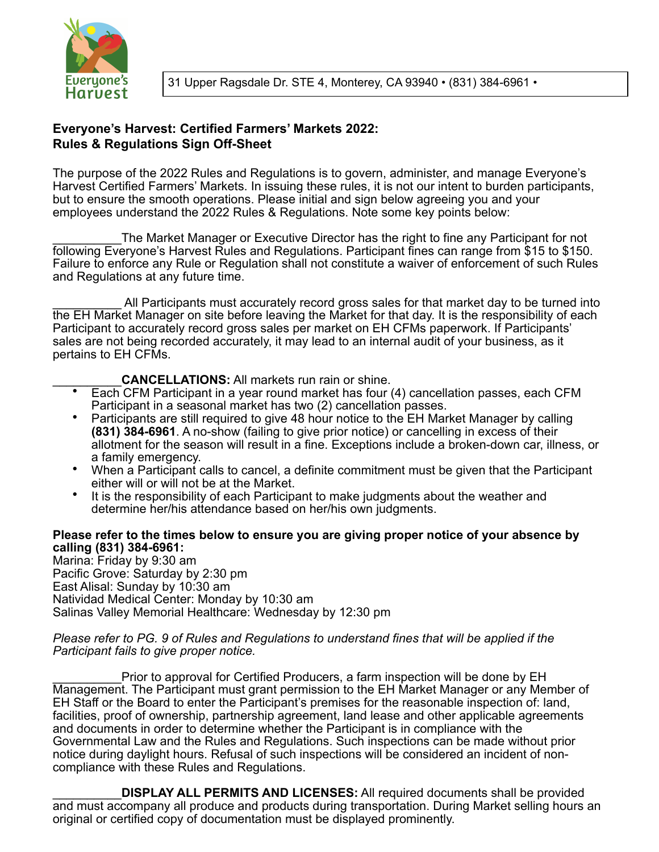

# **Everyone's Harvest: Certified Farmers' Markets 2022: Rules & Regulations Sign Off-Sheet**

The purpose of the 2022 Rules and Regulations is to govern, administer, and manage Everyone's Harvest Certified Farmers' Markets. In issuing these rules, it is not our intent to burden participants, but to ensure the smooth operations. Please initial and sign below agreeing you and your employees understand the 2022 Rules & Regulations. Note some key points below:

\_\_\_\_\_\_\_\_\_\_The Market Manager or Executive Director has the right to fine any Participant for not following Everyone's Harvest Rules and Regulations. Participant fines can range from \$15 to \$150. Failure to enforce any Rule or Regulation shall not constitute a waiver of enforcement of such Rules and Regulations at any future time.

All Participants must accurately record gross sales for that market day to be turned into the EH Market Manager on site before leaving the Market for that day. It is the responsibility of each Participant to accurately record gross sales per market on EH CFMs paperwork. If Participants' sales are not being recorded accurately, it may lead to an internal audit of your business, as it pertains to EH CFMs.

## **CANCELLATIONS:** All markets run rain or shine.

- Each CFM Participant in a year round market has four (4) cancellation passes, each CFM Participant in a seasonal market has two (2) cancellation passes.
- Participants are still required to give 48 hour notice to the EH Market Manager by calling **(831) 384-6961**. A no-show (failing to give prior notice) or cancelling in excess of their allotment for the season will result in a fine. Exceptions include a broken-down car, illness, or a family emergency.
- When a Participant calls to cancel, a definite commitment must be given that the Participant either will or will not be at the Market.
- It is the responsibility of each Participant to make judgments about the weather and determine her/his attendance based on her/his own judgments.

## **Please refer to the times below to ensure you are giving proper notice of your absence by calling (831) 384-6961:**

Marina: Friday by 9:30 am Pacific Grove: Saturday by 2:30 pm East Alisal: Sunday by 10:30 am Natividad Medical Center: Monday by 10:30 am Salinas Valley Memorial Healthcare: Wednesday by 12:30 pm

#### *Please refer to PG. 9 of Rules and Regulations to understand fines that will be applied if the Participant fails to give proper notice.*

Prior to approval for Certified Producers, a farm inspection will be done by EH Management. The Participant must grant permission to the EH Market Manager or any Member of EH Staff or the Board to enter the Participant's premises for the reasonable inspection of: land, facilities, proof of ownership, partnership agreement, land lease and other applicable agreements and documents in order to determine whether the Participant is in compliance with the Governmental Law and the Rules and Regulations. Such inspections can be made without prior notice during daylight hours. Refusal of such inspections will be considered an incident of noncompliance with these Rules and Regulations.

\_\_\_\_\_\_\_\_\_\_**DISPLAY ALL PERMITS AND LICENSES:** All required documents shall be provided and must accompany all produce and products during transportation. During Market selling hours an original or certified copy of documentation must be displayed prominently.